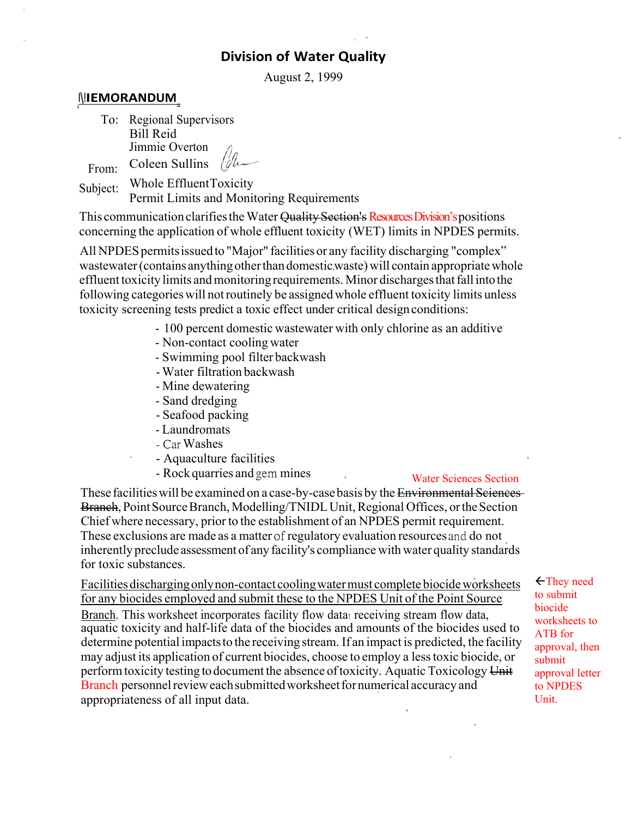# **Division of Water Quality**

August 2, 1999

## **l\!IEMORANDUM**

To: Regional Supervisors Bill Reid Jimmie Overton Coleen Sullins

From:

Subject: Whole Effluent Toxicity Permit Limits and Monitoring Requirements

This communication clarifies the Water Quality Section's Resources Division's positions concerning the application of whole effluent toxicity (WET) limits in NPDES permits.

All NPDES permits issued to "Major" facilities or any facility discharging "complex" wastewater (contains anything other than domestic waste) will contain appropriate whole effluent toxicity limits and monitoring requirements. Minor discharges that fall into the following categories will not routinely be assigned whole effluent toxicity limits unless toxicity screening tests predict a toxic effect under critical design conditions:

- 100 percent domestic wastewater with only chlorine as an additive
- Non-contact cooling water
- Swimming pool filter backwash
- Water filtration backwash
- Mine dewatering
- Sand dredging
- Seafood packing
- Laundromats
- Car Washes
- Aquaculture facilities
- Rock quarries and gem mines

### Water Sciences Section

These facilities will be examined on a case-by-case basis by the Environmental Sciences Branch, Point Source Branch, Modelling/TNIDL Unit, Regional Offices, or the Section Chief where necessary, prior to the establishment of an NPDES permit requirement. These exclusions are made as a matter of regulatory evaluation resources and do not inherently preclude assessment of any facility's compliance with water quality standards for toxic substances.

Facilities discharging only non-contact cooling water must complete biocide worksheets for any biocides employed and submit these to the NPDES Unit of the Point Source Branch. This worksheet incorporates facility flow data receiving stream flow data, aquatic toxicity and half-life data of the biocides and amounts of the biocides used to determine potential impacts to the receiving stream. If an impact is predicted, the facility may adjust its application of current biocides, choose to employ a less toxic biocide, or perform toxicity testing to document the absence of toxicity. Aquatic Toxicology Unit Branch personnel review each submitted worksheet for numerical accuracy and appropriateness of all input data.

They need to submit biocide worksheets to ATB for approval, then submit approval letter to NPDES Unit.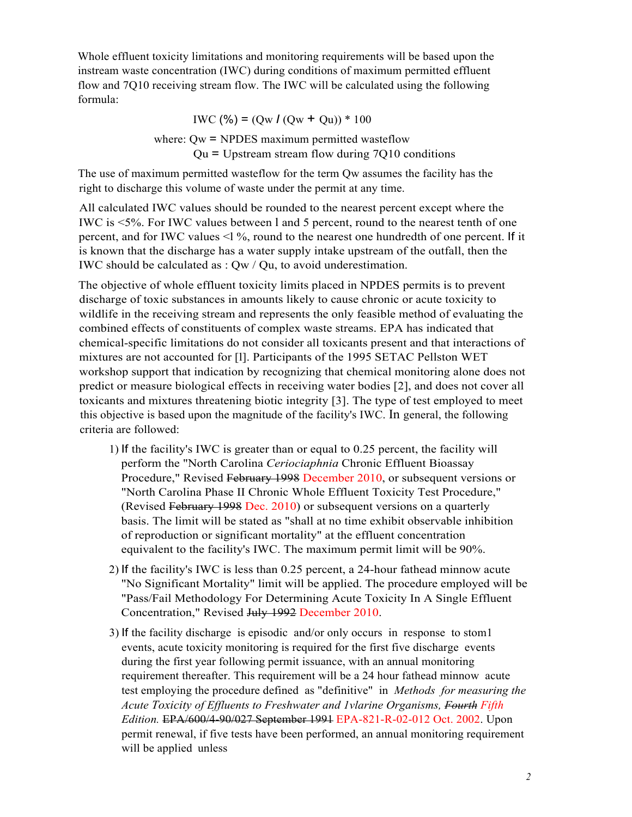Whole effluent toxicity limitations and monitoring requirements will be based upon the instream waste concentration (IWC) during conditions of maximum permitted effluent flow and 7Q10 receiving stream flow. The IWC will be calculated using the following formula:

$$
IWC (%) = (Qw I (Qw + Qu))*100
$$

where:  $Qw = \text{NPDES maximum permitted wasteflow}$  $Qu = Upstream stream flow during 7Q10 conditions$ 

The use of maximum permitted wasteflow for the term Qw assumes the facility has the right to discharge this volume of waste under the permit at any time.

All calculated IWC values should be rounded to the nearest percent except where the IWC is <5%. For IWC values between l and 5 percent, round to the nearest tenth of one percent, and for IWC values <l %, round to the nearest one hundredth of one percent. If it is known that the discharge has a water supply intake upstream of the outfall, then the IWC should be calculated as : Qw / Qu, to avoid underestimation.

The objective of whole effluent toxicity limits placed in NPDES permits is to prevent discharge of toxic substances in amounts likely to cause chronic or acute toxicity to wildlife in the receiving stream and represents the only feasible method of evaluating the combined effects of constituents of complex waste streams. EPA has indicated that chemical-specific limitations do not consider all toxicants present and that interactions of mixtures are not accounted for [l]. Participants of the 1995 SETAC Pellston WET workshop support that indication by recognizing that chemical monitoring alone does not predict or measure biological effects in receiving water bodies [2], and does not cover all toxicants and mixtures threatening biotic integrity [3]. The type of test employed to meet this objective is based upon the magnitude of the facility's IWC. In general, the following criteria are followed:

- 1) If the facility's IWC is greater than or equal to 0.25 percent, the facility will perform the "North Carolina *Ceriociaphnia* Chronic Effluent Bioassay Procedure," Revised February 1998 December 2010, or subsequent versions or "North Carolina Phase II Chronic Whole Effluent Toxicity Test Procedure," (Revised February 1998 Dec. 2010) or subsequent versions on a quarterly basis. The limit will be stated as "shall at no time exhibit observable inhibition of reproduction or significant mortality" at the effluent concentration equivalent to the facility's IWC. The maximum permit limit will be 90%.
- 2) If the facility's IWC is less than 0.25 percent, a 24-hour fathead minnow acute "No Significant Mortality" limit will be applied. The procedure employed will be "Pass/Fail Methodology For Determining Acute Toxicity In A Single Effluent Concentration," Revised July 1992 December 2010.
- 3) If the facility discharge is episodic and/or only occurs in response to stom1 events, acute toxicity monitoring is required for the first five discharge events during the first year following permit issuance, with an annual monitoring requirement thereafter. This requirement will be a 24 hour fathead minnow acute test employing the procedure defined as "definitive" in *Methods for measuring the Acute Toxicity of Effluents to Freshwater and 1vlarine Organisms, Fourth Fifth Edition.* EPA/600/4-90/027 September 1991 EPA-821-R-02-012 Oct. 2002. Upon permit renewal, if five tests have been performed, an annual monitoring requirement will be applied unless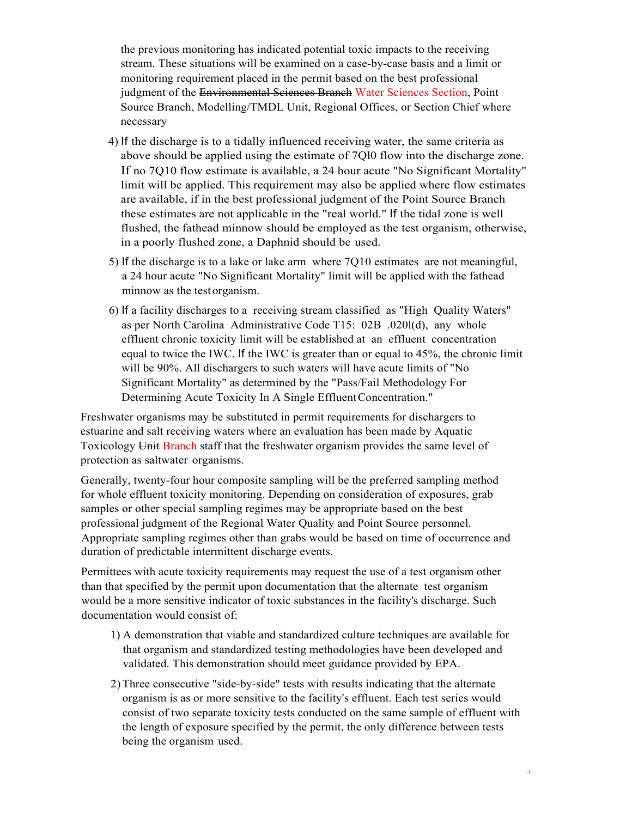the previous monitoring has indicated potential toxic impacts to the receiving stream. These situations will be examined on a case-by-case basis and a limit or monitoring requirement placed in the permit based on the best professional judgment of the Environmental Sciences Branch Water Sciences Section, Point Source Branch, Modelling/TMDL Unit, Regional Offices, or Section Chief where necessary

- 4) If the discharge is to a tidally influenced receiving water, the same criteria as above should be applied using the estimate of 7Ql0 flow into the discharge zone. If no 7Q10 flow estimate is available, a 24 hour acute "No Significant Mortality" limit will be applied. This requirement may also be applied where flow estimates are available, if in the best professional judgment of the Point Source Branch these estimates are not applicable in the "real world." If the tidal zone is well flushed, the fathead minnow should be employed as the test organism, otherwise, in a poorly flushed zone, a Daphnid should be used.
- 5) If the discharge is to a lake or lake arm where 7Q10 estimates are not meaningful, a 24 hour acute "No Significant Mortality" limit will be applied with the fathead minnow as the test organism.
- 6) If a facility discharges to a receiving stream classified as "High Quality Waters" as per North Carolina Administrative Code T15: 02B .020l(d), any whole effluent chronic toxicity limit will be established at an effluent concentration equal to twice the IWC. If the IWC is greater than or equal to 45%, the chronic limit will be 90%. All dischargers to such waters will have acute limits of "No Significant Mortality" as determined by the "Pass/Fail Methodology For Determining Acute Toxicity In A Single Effluent Concentration."

Freshwater organisms may be substituted in permit requirements for dischargers to estuarine and salt receiving waters where an evaluation has been made by Aquatic Toxicology Unit Branch staff that the freshwater organism provides the same level of protection as saltwater organisms.

Generally, twenty-four hour composite sampling will be the preferred sampling method for whole effluent toxicity monitoring. Depending on consideration of exposures, grab samples or other special sampling regimes may be appropriate based on the best professional judgment of the Regional Water Quality and Point Source personnel. Appropriate sampling regimes other than grabs would be based on time of occurrence and duration of predictable intermittent discharge events.

Permittees with acute toxicity requirements may request the use of a test organism other than that specified by the permit upon documentation that the alternate test organism would be a more sensitive indicator of toxic substances in the facility's discharge. Such documentation would consist of:

- 1) A demonstration that viable and standardized culture techniques are available for that organism and standardized testing methodologies have been developed and validated. This demonstration should meet guidance provided by EPA.
- 2)Three consecutive "side-by-side" tests with results indicating that the alternate organism is as or more sensitive to the facility's effluent. Each test series would consist of two separate toxicity tests conducted on the same sample of effluent with the length of exposure specified by the permit, the only difference between tests being the organism used.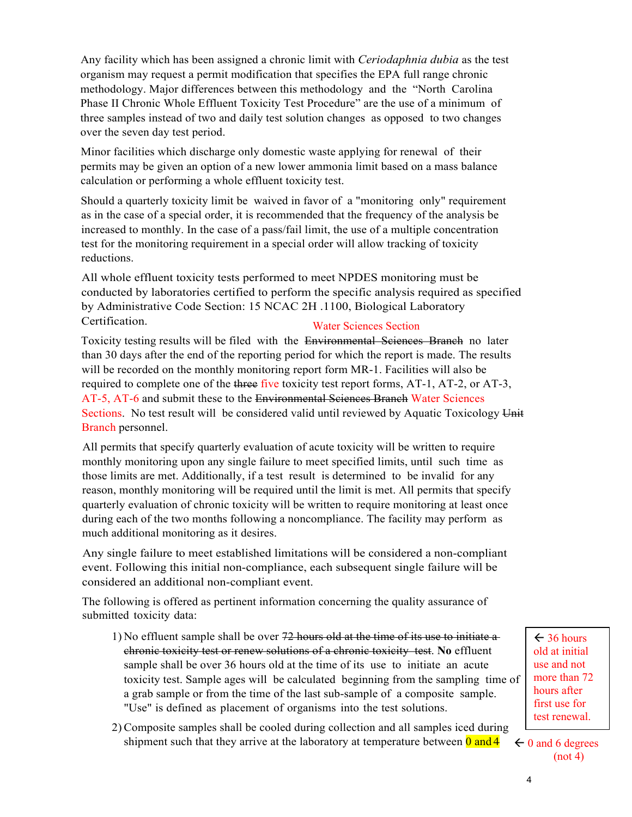Any facility which has been assigned a chronic limit with *Ceriodaphnia dubia* as the test organism may request a permit modification that specifies the EPA full range chronic methodology. Major differences between this methodology and the "North Carolina Phase II Chronic Whole Effluent Toxicity Test Procedure" are the use of a minimum of three samples instead of two and daily test solution changes as opposed to two changes over the seven day test period.

Minor facilities which discharge only domestic waste applying for renewal of their permits may be given an option of a new lower ammonia limit based on a mass balance calculation or performing a whole effluent toxicity test.

Should a quarterly toxicity limit be waived in favor of a "monitoring only" requirement as in the case of a special order, it is recommended that the frequency of the analysis be increased to monthly. In the case of a pass/fail limit, the use of a multiple concentration test for the monitoring requirement in a special order will allow tracking of toxicity reductions.

All whole effluent toxicity tests performed to meet NPDES monitoring must be conducted by laboratories certified to perform the specific analysis required as specified by Administrative Code Section: 15 NCAC 2H .1100, Biological Laboratory Certification. Water Sciences Section

Toxicity testing results will be filed with the Environmental Sciences Branch no later than 30 days after the end of the reporting period for which the report is made. The results will be recorded on the monthly monitoring report form MR-1. Facilities will also be required to complete one of the three five toxicity test report forms, AT-1, AT-2, or AT-3, AT-5, AT-6 and submit these to the Environmental Sciences Branch Water Sciences Sections. No test result will be considered valid until reviewed by Aquatic Toxicology Unit Branch personnel.

All permits that specify quarterly evaluation of acute toxicity will be written to require monthly monitoring upon any single failure to meet specified limits, until such time as those limits are met. Additionally, if a test result is determined to be invalid for any reason, monthly monitoring will be required until the limit is met. All permits that specify quarterly evaluation of chronic toxicity will be written to require monitoring at least once during each of the two months following a noncompliance. The facility may perform as much additional monitoring as it desires.

Any single failure to meet established limitations will be considered a non-compliant event. Following this initial non-compliance, each subsequent single failure will be considered an additional non-compliant event.

The following is offered as pertinent information concerning the quality assurance of submitted toxicity data:

- 1) No effluent sample shall be over  $72$  hours old at the time of its use to initiate a chronic toxicity test or renew solutions of a chronic toxicity test. **No** effluent sample shall be over 36 hours old at the time of its use to initiate an acute toxicity test. Sample ages will be calculated beginning from the sampling time of a grab sample or from the time of the last sub-sample of a composite sample. "Use" is defined as placement of organisms into the test solutions.
- 2) Composite samples shall be cooled during collection and all samples iced during shipment such that they arrive at the laboratory at temperature between  $\theta$  and  $\theta$

 $\leftarrow$  36 hours old at initial use and not more than 72 hours after first use for test renewal.

 $\leftarrow$  0 and 6 degrees  $(not 4)$